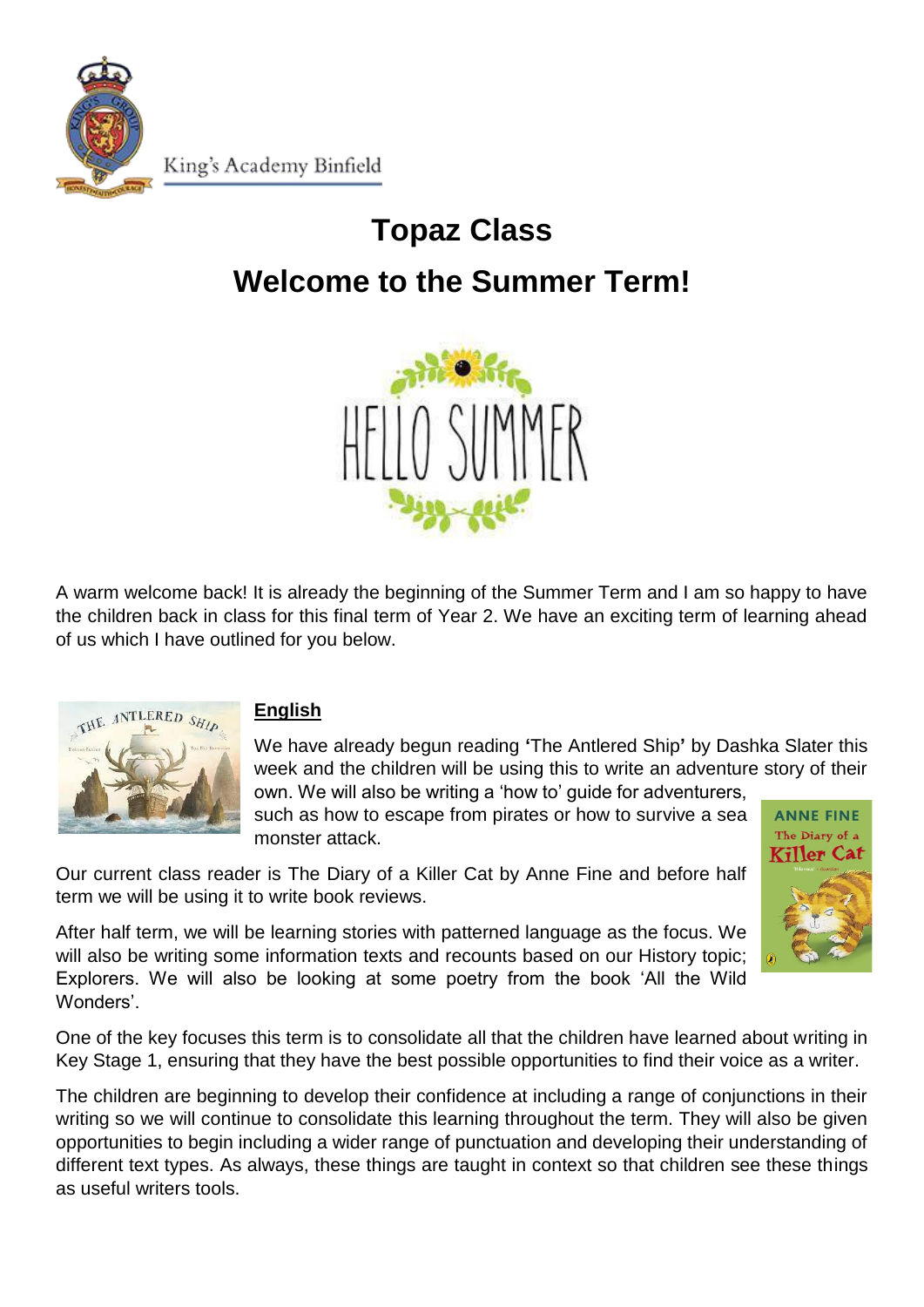

King's Academy Binfield

# **Topaz Class Welcome to the Summer Term!**



A warm welcome back! It is already the beginning of the Summer Term and I am so happy to have the children back in class for this final term of Year 2. We have an exciting term of learning ahead of us which I have outlined for you below.



# **English**

We have already begun reading **'**The Antlered Ship**'** by Dashka Slater this week and the children will be using this to write an adventure story of their own. We will also be writing a 'how to' guide for adventurers,

such as how to escape from pirates or how to survive a sea monster attack.

Our current class reader is The Diary of a Killer Cat by Anne Fine and before half term we will be using it to write book reviews.

After half term, we will be learning stories with patterned language as the focus. We will also be writing some information texts and recounts based on our History topic; Explorers. We will also be looking at some poetry from the book 'All the Wild Wonders'.



One of the key focuses this term is to consolidate all that the children have learned about writing in Key Stage 1, ensuring that they have the best possible opportunities to find their voice as a writer.

The children are beginning to develop their confidence at including a range of conjunctions in their writing so we will continue to consolidate this learning throughout the term. They will also be given opportunities to begin including a wider range of punctuation and developing their understanding of different text types. As always, these things are taught in context so that children see these things as useful writers tools.